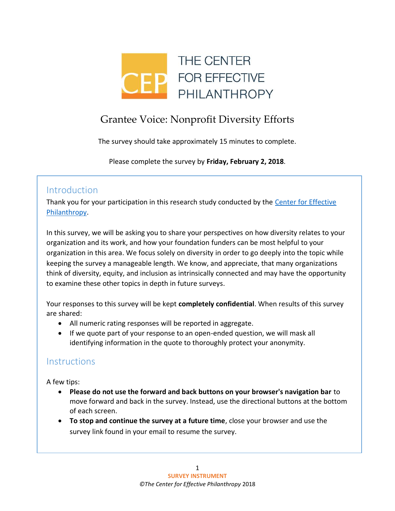

# Grantee Voice: Nonprofit Diversity Efforts

The survey should take approximately 15 minutes to complete.

Please complete the survey by **Friday, February 2, 2018**.

## **Introduction**

Thank you for your participation in this research study conducted by the [Center for Effective](http://www.cep.org/)  [Philanthropy.](http://www.cep.org/)

In this survey, we will be asking you to share your perspectives on how diversity relates to your organization and its work, and how your foundation funders can be most helpful to your organization in this area. We focus solely on diversity in order to go deeply into the topic while keeping the survey a manageable length. We know, and appreciate, that many organizations think of diversity, equity, and inclusion as intrinsically connected and may have the opportunity to examine these other topics in depth in future surveys.

Your responses to this survey will be kept **completely confidential**. When results of this survey are shared:

- All numeric rating responses will be reported in aggregate.
- If we quote part of your response to an open-ended question, we will mask all identifying information in the quote to thoroughly protect your anonymity.

## **Instructions**

A few tips:

- **Please do not use the forward and back buttons on your browser's navigation bar** to move forward and back in the survey. Instead, use the directional buttons at the bottom of each screen.
- **To stop and continue the survey at a future time**, close your browser and use the survey link found in your email to resume the survey.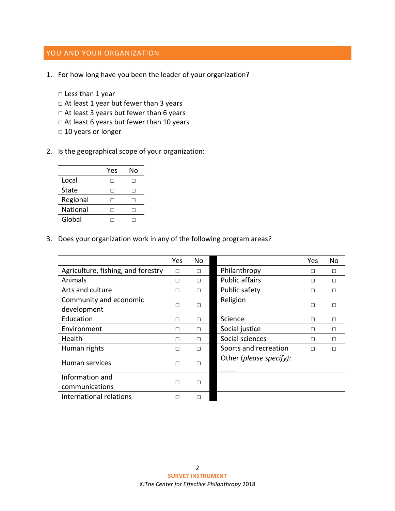### YOU AND YOUR ORGANIZATION

- 1. For how long have you been the leader of your organization?
	- □ Less than 1 year  $\Box$  At least 1 year but fewer than 3 years □ At least 3 years but fewer than 6 years □ At least 6 years but fewer than 10 years □ 10 years or longer
- 2. Is the geographical scope of your organization:

|              | Yes | N٥ |
|--------------|-----|----|
| Local        |     |    |
| <b>State</b> |     |    |
| Regional     |     |    |
| National     |     |    |
| Global       |     |    |

3. Does your organization work in any of the following program areas?

|                                    | Yes | <b>No</b> |                         | Yes    | No     |
|------------------------------------|-----|-----------|-------------------------|--------|--------|
| Agriculture, fishing, and forestry | П   | П         | Philanthropy            | П      | П      |
| Animals                            | П   | П         | <b>Public affairs</b>   | П      | П      |
| Arts and culture                   | Н   | П         | Public safety           | П      | П      |
| Community and economic             |     |           | Religion                |        |        |
| development                        | П   | П         |                         | $\Box$ | П      |
| Education                          | П   | П         | Science                 | П      | $\Box$ |
| Environment                        | П   | П         | Social justice          | П      | П      |
| Health                             | П   | П         | Social sciences         | П      | П      |
| Human rights                       | П   | П         | Sports and recreation   | П      | $\Box$ |
| Human services                     | П   | П         | Other (please specify): |        |        |
| Information and                    | П   | П         |                         |        |        |
| communications                     |     |           |                         |        |        |
| International relations            | П   | П         |                         |        |        |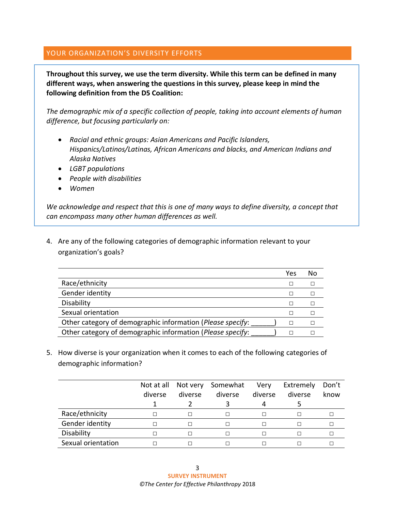#### YOUR ORGANIZATION'S DIVERSITY EFFORTS

**Throughout this survey, we use the term diversity. While this term can be defined in many different ways, when answering the questions in this survey, please keep in mind the following definition from the D5 Coalition:**

*The demographic mix of a specific collection of people, taking into account elements of human difference, but focusing particularly on:*

- *Racial and ethnic groups: Asian Americans and Pacific Islanders, Hispanics/Latinos/Latinas, African Americans and blacks, and American Indians and Alaska Natives*
- *LGBT populations*
- *People with disabilities*
- *Women*

*We acknowledge and respect that this is one of many ways to define diversity, a concept that can encompass many other human differences as well.* 

4. Are any of the following categories of demographic information relevant to your organization's goals?

|                                                            | Yes | No |
|------------------------------------------------------------|-----|----|
| Race/ethnicity                                             |     |    |
| Gender identity                                            |     |    |
| Disability                                                 |     |    |
| Sexual orientation                                         |     |    |
| Other category of demographic information (Please specify: |     |    |
| Other category of demographic information (Please specify: |     |    |

5. How diverse is your organization when it comes to each of the following categories of demographic information?

|                    | Not at all |              | Not very Somewhat | Very    | Extremely | Don't |
|--------------------|------------|--------------|-------------------|---------|-----------|-------|
|                    | diverse    | diverse      | diverse           | diverse | diverse   | know  |
|                    |            |              |                   |         |           |       |
| Race/ethnicity     |            | $\perp$      |                   |         |           |       |
| Gender identity    |            | П            |                   |         |           |       |
| Disability         |            | $\mathsf{L}$ |                   |         |           |       |
| Sexual orientation |            |              |                   |         |           |       |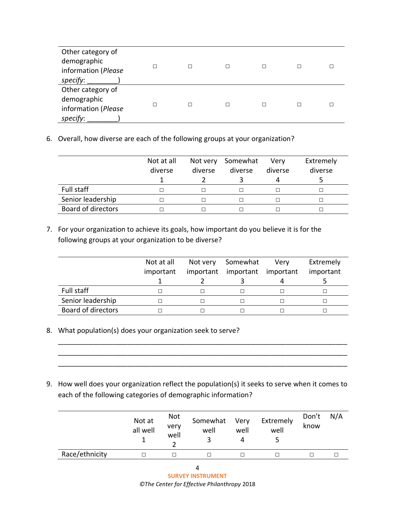| Other category of<br>demographic<br>information (Please<br>specify: | П |  |  |
|---------------------------------------------------------------------|---|--|--|
| Other category of<br>demographic<br>information (Please<br>specify: | п |  |  |

6. Overall, how diverse are each of the following groups at your organization?

|                           | Not at all<br>diverse | Not very<br>diverse | Somewhat<br>diverse | Verv<br>diverse<br>4 | Extremely<br>diverse |
|---------------------------|-----------------------|---------------------|---------------------|----------------------|----------------------|
| Full staff                |                       |                     |                     |                      |                      |
| Senior leadership         |                       |                     |                     |                      |                      |
| <b>Board of directors</b> |                       |                     |                     |                      |                      |

7. For your organization to achieve its goals, how important do you believe it is for the following groups at your organization to be diverse?

|                           | Not at all<br>important | Not very<br>important | Somewhat<br>important | Very<br>important | Extremely<br>important |
|---------------------------|-------------------------|-----------------------|-----------------------|-------------------|------------------------|
| Full staff                |                         |                       |                       |                   |                        |
| Senior leadership         |                         |                       |                       |                   |                        |
| <b>Board of directors</b> |                         |                       |                       |                   |                        |

\_\_\_\_\_\_\_\_\_\_\_\_\_\_\_\_\_\_\_\_\_\_\_\_\_\_\_\_\_\_\_\_\_\_\_\_\_\_\_\_\_\_\_\_\_\_\_\_\_\_\_\_\_\_\_\_\_\_\_\_\_\_\_\_\_\_\_\_\_\_\_\_\_\_\_ \_\_\_\_\_\_\_\_\_\_\_\_\_\_\_\_\_\_\_\_\_\_\_\_\_\_\_\_\_\_\_\_\_\_\_\_\_\_\_\_\_\_\_\_\_\_\_\_\_\_\_\_\_\_\_\_\_\_\_\_\_\_\_\_\_\_\_\_\_\_\_\_\_\_\_ \_\_\_\_\_\_\_\_\_\_\_\_\_\_\_\_\_\_\_\_\_\_\_\_\_\_\_\_\_\_\_\_\_\_\_\_\_\_\_\_\_\_\_\_\_\_\_\_\_\_\_\_\_\_\_\_\_\_\_\_\_\_\_\_\_\_\_\_\_\_\_\_\_\_\_

- 8. What population(s) does your organization seek to serve?
- 9. How well does your organization reflect the population(s) it seeks to serve when it comes to each of the following categories of demographic information?

|                | Not at<br>all well | <b>Not</b><br>very<br>well | Somewhat Very<br>well | well | Extremely<br>well | Don't<br>know | N/A |
|----------------|--------------------|----------------------------|-----------------------|------|-------------------|---------------|-----|
| Race/ethnicity |                    |                            |                       |      |                   |               |     |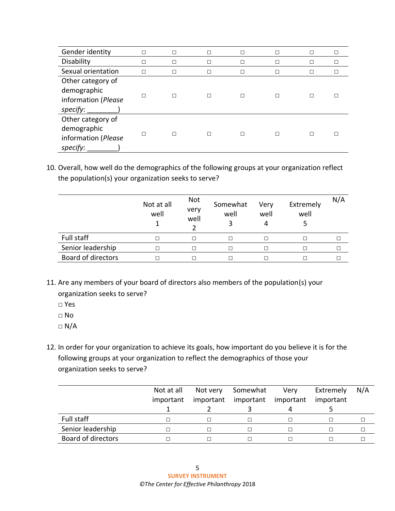| Gender identity                                                     |   | □  |   | П |              |                          | □            |
|---------------------------------------------------------------------|---|----|---|---|--------------|--------------------------|--------------|
| Disability                                                          | ┐ | П  | П | П | П            |                          | П            |
| Sexual orientation                                                  | П | П  |   | П | $\mathsf{L}$ | $\overline{\phantom{a}}$ | $\mathsf{L}$ |
| Other category of<br>demographic<br>information (Please<br>specify: |   | п  |   | П |              |                          |              |
| Other category of<br>demographic<br>information (Please<br>specify: |   | ΙI | П | П |              |                          |              |

10. Overall, how well do the demographics of the following groups at your organization reflect the population(s) your organization seeks to serve?

|                           | Not at all<br>well | Not<br>very<br>well | Somewhat<br>well | Very<br>well | Extremely<br>well | N/A |
|---------------------------|--------------------|---------------------|------------------|--------------|-------------------|-----|
| Full staff                |                    | П                   | ⊏                |              |                   |     |
| Senior leadership         |                    | П                   | Г                |              |                   |     |
| <b>Board of directors</b> |                    | П                   |                  |              |                   |     |

- 11. Are any members of your board of directors also members of the population(s) your organization seeks to serve?
	- □ Yes
	- □ No
	- $\Box$  N/A
- 12. In order for your organization to achieve its goals, how important do you believe it is for the following groups at your organization to reflect the demographics of those your organization seeks to serve?

|                    | Not at all<br>important | Not very<br>important | Somewhat<br>important | Very<br>important | Extremely<br>important | N/A |
|--------------------|-------------------------|-----------------------|-----------------------|-------------------|------------------------|-----|
| Full staff         |                         |                       |                       |                   |                        |     |
| Senior leadership  |                         |                       |                       |                   |                        |     |
| Board of directors |                         |                       |                       |                   |                        |     |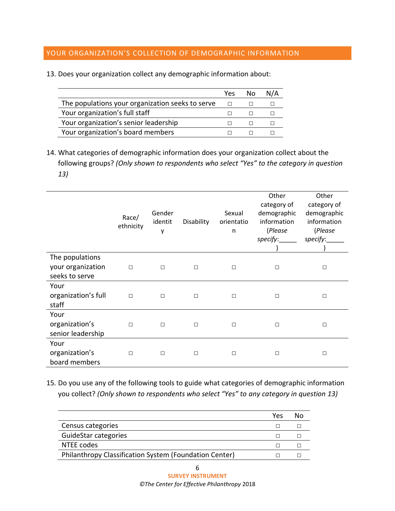#### YOUR ORGANIZATION'S COLLECTION OF DEMOGRAPHIC INFORMATION

|  | 13. Does your organization collect any demographic information about: |  |  |
|--|-----------------------------------------------------------------------|--|--|
|  |                                                                       |  |  |

|                                                  | Yes | No. |  |
|--------------------------------------------------|-----|-----|--|
| The populations your organization seeks to serve |     |     |  |
| Your organization's full staff                   |     |     |  |
| Your organization's senior leadership            |     |     |  |
| Your organization's board members                |     |     |  |

14. What categories of demographic information does your organization collect about the following groups? *(Only shown to respondents who select "Yes" to the category in question 13)*

|                                             | Race/<br>ethnicity | Gender<br>identit<br>у | Disability | Sexual<br>orientatio<br>n | Other<br>category of<br>demographic<br>information<br>(Please<br>specify:______ | Other<br>category of<br>demographic<br>information<br>(Please<br>specify: |
|---------------------------------------------|--------------------|------------------------|------------|---------------------------|---------------------------------------------------------------------------------|---------------------------------------------------------------------------|
| The populations<br>your organization        | $\Box$             | П                      | П          | П                         | П                                                                               | $\Box$                                                                    |
| seeks to serve                              |                    |                        |            |                           |                                                                                 |                                                                           |
| Your<br>organization's full<br>staff        | $\Box$             | П                      | П          | П                         | П                                                                               | $\Box$                                                                    |
| Your<br>organization's<br>senior leadership | $\Box$             | $\Box$                 | П          | П                         | П                                                                               | $\Box$                                                                    |
| Your<br>organization's<br>board members     | $\Box$             | $\Box$                 | П          | П                         | П                                                                               | $\Box$                                                                    |

15. Do you use any of the following tools to guide what categories of demographic information you collect? *(Only shown to respondents who select "Yes" to any category in question 13)*

|                                                        | Yes | Nο |
|--------------------------------------------------------|-----|----|
| Census categories                                      |     |    |
| GuideStar categories                                   |     |    |
| NTEE codes                                             |     |    |
| Philanthropy Classification System (Foundation Center) |     |    |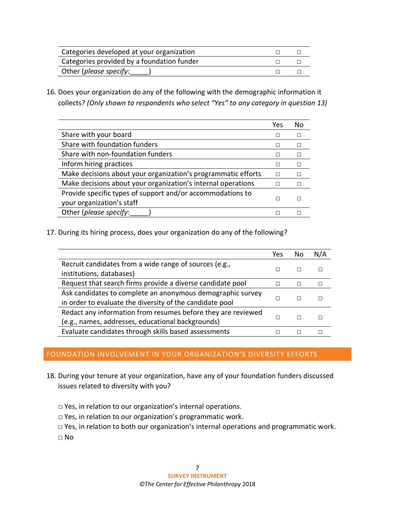| Categories developed at your organization  |  |
|--------------------------------------------|--|
| Categories provided by a foundation funder |  |
| Other (please specify:                     |  |

16. Does your organization do any of the following with the demographic information it collects? *(Only shown to respondents who select "Yes" to any category in question 13)*

|                                                               | Yes | Nο |
|---------------------------------------------------------------|-----|----|
| Share with your board                                         |     |    |
| Share with foundation funders                                 |     |    |
| Share with non-foundation funders                             |     |    |
| Inform hiring practices                                       |     |    |
| Make decisions about your organization's programmatic efforts | П   |    |
| Make decisions about your organization's internal operations  |     |    |
| Provide specific types of support and/or accommodations to    | П   |    |
| your organization's staff                                     |     |    |
| Other (please specify:                                        |     |    |
|                                                               |     |    |

17. During its hiring process, does your organization do any of the following?

|                                                              | Yes | N٥ | N/A |
|--------------------------------------------------------------|-----|----|-----|
| Recruit candidates from a wide range of sources (e.g.,       |     |    |     |
| institutions, databases)                                     |     |    |     |
| Request that search firms provide a diverse candidate pool   |     |    |     |
| Ask candidates to complete an anonymous demographic survey   |     |    |     |
| in order to evaluate the diversity of the candidate pool     |     |    |     |
| Redact any information from resumes before they are reviewed |     |    |     |
| (e.g., names, addresses, educational backgrounds)            |     |    |     |
| Evaluate candidates through skills based assessments         |     |    |     |

#### FOUNDATION INVOLVEMENT IN YOUR ORGANIZATION'S DIVERSITY EFFORTS

- 18. During your tenure at your organization, have any of your foundation funders discussed issues related to diversity with you?
	- □ Yes, in relation to our organization's internal operations.
	- □ Yes, in relation to our organization's programmatic work.
	- □ Yes, in relation to both our organization's internal operations and programmatic work.

□ No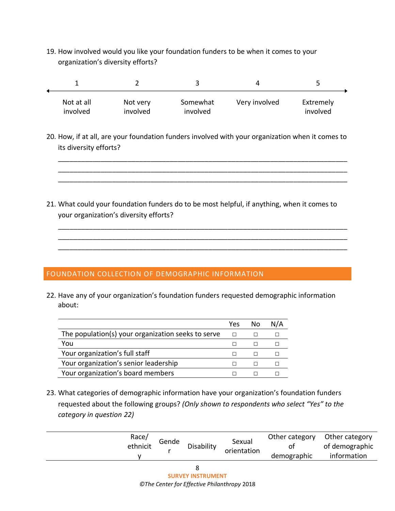19. How involved would you like your foundation funders to be when it comes to your organization's diversity efforts?

| Not at all<br>involved | Not very<br>involved | Somewhat<br>involved | Very involved | Extremely<br>involved |
|------------------------|----------------------|----------------------|---------------|-----------------------|

20. How, if at all, are your foundation funders involved with your organization when it comes to its diversity efforts?

\_\_\_\_\_\_\_\_\_\_\_\_\_\_\_\_\_\_\_\_\_\_\_\_\_\_\_\_\_\_\_\_\_\_\_\_\_\_\_\_\_\_\_\_\_\_\_\_\_\_\_\_\_\_\_\_\_\_\_\_\_\_\_\_\_\_\_\_\_\_\_\_\_\_\_ \_\_\_\_\_\_\_\_\_\_\_\_\_\_\_\_\_\_\_\_\_\_\_\_\_\_\_\_\_\_\_\_\_\_\_\_\_\_\_\_\_\_\_\_\_\_\_\_\_\_\_\_\_\_\_\_\_\_\_\_\_\_\_\_\_\_\_\_\_\_\_\_\_\_\_ \_\_\_\_\_\_\_\_\_\_\_\_\_\_\_\_\_\_\_\_\_\_\_\_\_\_\_\_\_\_\_\_\_\_\_\_\_\_\_\_\_\_\_\_\_\_\_\_\_\_\_\_\_\_\_\_\_\_\_\_\_\_\_\_\_\_\_\_\_\_\_\_\_\_\_

\_\_\_\_\_\_\_\_\_\_\_\_\_\_\_\_\_\_\_\_\_\_\_\_\_\_\_\_\_\_\_\_\_\_\_\_\_\_\_\_\_\_\_\_\_\_\_\_\_\_\_\_\_\_\_\_\_\_\_\_\_\_\_\_\_\_\_\_\_\_\_\_\_\_\_ \_\_\_\_\_\_\_\_\_\_\_\_\_\_\_\_\_\_\_\_\_\_\_\_\_\_\_\_\_\_\_\_\_\_\_\_\_\_\_\_\_\_\_\_\_\_\_\_\_\_\_\_\_\_\_\_\_\_\_\_\_\_\_\_\_\_\_\_\_\_\_\_\_\_\_ \_\_\_\_\_\_\_\_\_\_\_\_\_\_\_\_\_\_\_\_\_\_\_\_\_\_\_\_\_\_\_\_\_\_\_\_\_\_\_\_\_\_\_\_\_\_\_\_\_\_\_\_\_\_\_\_\_\_\_\_\_\_\_\_\_\_\_\_\_\_\_\_\_\_\_

21. What could your foundation funders do to be most helpful, if anything, when it comes to your organization's diversity efforts?

#### FOUNDATION COLLECTION OF DEMOGRAPHIC INFORMATION

22. Have any of your organization's foundation funders requested demographic information about:

|                                                    | Yes | N٥ |  |
|----------------------------------------------------|-----|----|--|
| The population(s) your organization seeks to serve |     |    |  |
| You                                                |     |    |  |
| Your organization's full staff                     |     |    |  |
| Your organization's senior leadership              |     |    |  |
| Your organization's board members                  |     |    |  |

23. What categories of demographic information have your organization's foundation funders requested about the following groups? *(Only shown to respondents who select "Yes" to the category in question 22)*

| Race/<br>ethnicit | Gende | Disability | Sexual<br>orientation | Other category<br>0t<br>demographic | Other category<br>of demographic<br>information |
|-------------------|-------|------------|-----------------------|-------------------------------------|-------------------------------------------------|
|                   |       |            |                       |                                     |                                                 |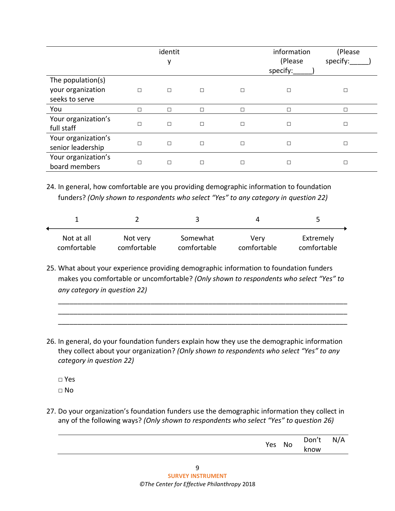|                                                          |        | identit<br>у |        |        | information<br>(Please<br>specify: | (Please<br>specify: |
|----------------------------------------------------------|--------|--------------|--------|--------|------------------------------------|---------------------|
| The population(s)<br>your organization<br>seeks to serve | $\Box$ | □            | $\Box$ | $\Box$ | П                                  | $\Box$              |
| You                                                      | П      | □            | П      | $\Box$ | П                                  | □                   |
| Your organization's<br>full staff                        | □      | □            | $\Box$ | $\Box$ | $\Box$                             | □                   |
| Your organization's<br>senior leadership                 | $\Box$ | □            | $\Box$ | $\Box$ | $\Box$                             | □                   |
| Your organization's<br>board members                     | □      | □            | □      | $\Box$ | □                                  | □                   |

24. In general, how comfortable are you providing demographic information to foundation funders? *(Only shown to respondents who select "Yes" to any category in question 22)*

| Not at all  | Not very    | Somewhat    | Verv        | Extremely   |
|-------------|-------------|-------------|-------------|-------------|
| comfortable | comfortable | comfortable | comfortable | comfortable |

25. What about your experience providing demographic information to foundation funders makes you comfortable or uncomfortable? *(Only shown to respondents who select "Yes" to any category in question 22)*

\_\_\_\_\_\_\_\_\_\_\_\_\_\_\_\_\_\_\_\_\_\_\_\_\_\_\_\_\_\_\_\_\_\_\_\_\_\_\_\_\_\_\_\_\_\_\_\_\_\_\_\_\_\_\_\_\_\_\_\_\_\_\_\_\_\_\_\_\_\_\_\_\_\_\_ \_\_\_\_\_\_\_\_\_\_\_\_\_\_\_\_\_\_\_\_\_\_\_\_\_\_\_\_\_\_\_\_\_\_\_\_\_\_\_\_\_\_\_\_\_\_\_\_\_\_\_\_\_\_\_\_\_\_\_\_\_\_\_\_\_\_\_\_\_\_\_\_\_\_\_ \_\_\_\_\_\_\_\_\_\_\_\_\_\_\_\_\_\_\_\_\_\_\_\_\_\_\_\_\_\_\_\_\_\_\_\_\_\_\_\_\_\_\_\_\_\_\_\_\_\_\_\_\_\_\_\_\_\_\_\_\_\_\_\_\_\_\_\_\_\_\_\_\_\_\_

26. In general, do your foundation funders explain how they use the demographic information they collect about your organization? *(Only shown to respondents who select "Yes" to any category in question 22)*

□ Yes

 $\sqcap$  No

27. Do your organization's foundation funders use the demographic information they collect in any of the following ways? *(Only shown to respondents who select "Yes" to question 26)*

| Yes | No | Don't<br>know | N/A |
|-----|----|---------------|-----|
|     |    |               |     |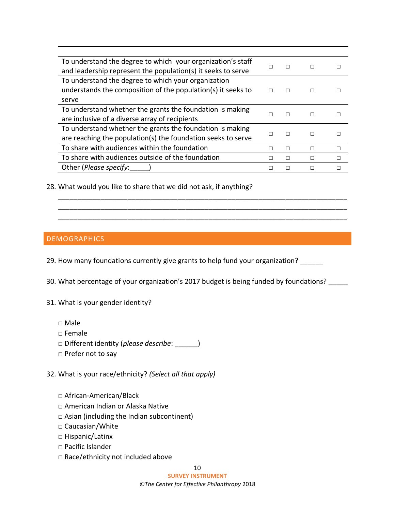| To understand the degree to which your organization's staff  | П | П | $\Box$ |        |
|--------------------------------------------------------------|---|---|--------|--------|
| and leadership represent the population(s) it seeks to serve |   |   |        |        |
| To understand the degree to which your organization          |   |   |        |        |
| understands the composition of the population(s) it seeks to |   |   | П      |        |
| serve                                                        |   |   |        |        |
| To understand whether the grants the foundation is making    |   |   |        |        |
| are inclusive of a diverse array of recipients               | П |   | П      |        |
| To understand whether the grants the foundation is making    |   |   |        |        |
| are reaching the population(s) the foundation seeks to serve | П | П | $\Box$ |        |
| To share with audiences within the foundation                | П | L | П      | $\Box$ |
| To share with audiences outside of the foundation            |   |   | П      |        |
| Other (Please specify:                                       |   |   |        |        |

\_\_\_\_\_\_\_\_\_\_\_\_\_\_\_\_\_\_\_\_\_\_\_\_\_\_\_\_\_\_\_\_\_\_\_\_\_\_\_\_\_\_\_\_\_\_\_\_\_\_\_\_\_\_\_\_\_\_\_\_\_\_\_\_\_\_\_\_\_\_\_\_\_\_\_ \_\_\_\_\_\_\_\_\_\_\_\_\_\_\_\_\_\_\_\_\_\_\_\_\_\_\_\_\_\_\_\_\_\_\_\_\_\_\_\_\_\_\_\_\_\_\_\_\_\_\_\_\_\_\_\_\_\_\_\_\_\_\_\_\_\_\_\_\_\_\_\_\_\_\_ \_\_\_\_\_\_\_\_\_\_\_\_\_\_\_\_\_\_\_\_\_\_\_\_\_\_\_\_\_\_\_\_\_\_\_\_\_\_\_\_\_\_\_\_\_\_\_\_\_\_\_\_\_\_\_\_\_\_\_\_\_\_\_\_\_\_\_\_\_\_\_\_\_\_\_

28. What would you like to share that we did not ask, if anything?

#### DEMOGRAPHICS

29. How many foundations currently give grants to help fund your organization?

30. What percentage of your organization's 2017 budget is being funded by foundations? \_\_\_\_\_

31. What is your gender identity?

- □ Male
- □ Female
- □ Different identity (*please describe*: \_\_\_\_\_\_)
- □ Prefer not to say

32. What is your race/ethnicity? *(Select all that apply)*

- □ African-American/Black
- □ American Indian or Alaska Native
- $\Box$  Asian (including the Indian subcontinent)
- □ Caucasian/White
- □ Hispanic/Latinx
- □ Pacific Islander
- □ Race/ethnicity not included above